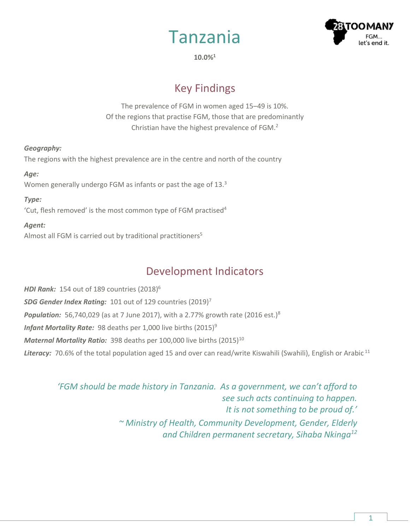



**10.0%<sup>1</sup>**

# Key Findings

The prevalence of FGM in women aged 15–49 is 10%. Of the regions that practise FGM, those that are predominantly Christian have the highest prevalence of FGM.<sup>2</sup>

### *Geography:*

The regions with the highest prevalence are in the centre and north of the country

#### *Age:*

Women generally undergo FGM as infants or past the age of 13.<sup>3</sup>

### *Type:*

'Cut, flesh removed' is the most common type of FGM practised<sup>4</sup>

### *Agent:*

Almost all FGM is carried out by traditional practitioners<sup>5</sup>

## Development Indicators

*HDI Rank:* 154 out of 189 countries (2018) 6 *SDG Gender Index Rating:* 101 out of 129 countries (2019)<sup>7</sup> **Population:** 56,740,029 (as at 7 June 2017), with a 2.77% growth rate (2016 est.)<sup>8</sup> *Infant Mortality Rate:* 98 deaths per 1,000 live births (2015)<sup>9</sup> *Maternal Mortality Ratio:* 398 deaths per 100,000 live births (2015)<sup>10</sup> Literacy: 70.6% of the total population aged 15 and over can read/write Kiswahili (Swahili), English or Arabic<sup>11</sup>

*'FGM should be made history in Tanzania. As a government, we can't afford to see such acts continuing to happen. It is not something to be proud of.' ~ Ministry of Health, Community Development, Gender, Elderly and Children permanent secretary, Sihaba Nkinga12*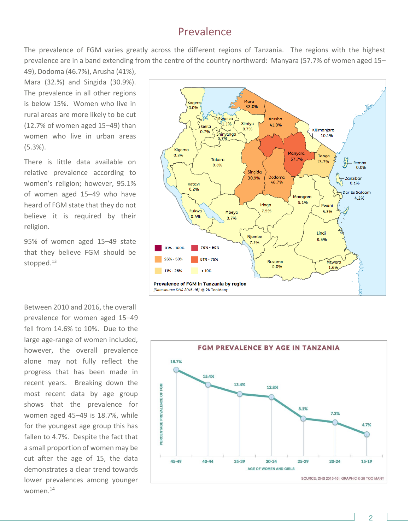### Prevalence

The prevalence of FGM varies greatly across the different regions of Tanzania. The regions with the highest prevalence are in a band extending from the centre of the country northward: Manyara (57.7% of women aged 15–

49), Dodoma (46.7%), Arusha (41%), Mara (32.%) and Singida (30.9%). The prevalence in all other regions is below 15%. Women who live in rural areas are more likely to be cut (12.7% of women aged 15–49) than women who live in urban areas (5.3%).

There is little data available on relative prevalence according to women's religion; however, 95.1% of women aged 15–49 who have heard of FGM state that they do not believe it is required by their religion.

95% of women aged 15–49 state that they believe FGM should be stopped.<sup>13</sup>

Between 2010 and 2016, the overall prevalence for women aged 15–49 fell from 14.6% to 10%. Due to the large age-range of women included, however, the overall prevalence alone may not fully reflect the progress that has been made in recent years. Breaking down the most recent data by age group shows that the prevalence for women aged 45–49 is 18.7%, while for the youngest age group this has fallen to 4.7%. Despite the fact that a small proportion of women may be cut after the age of 15, the data demonstrates a clear trend towards lower prevalences among younger women.14